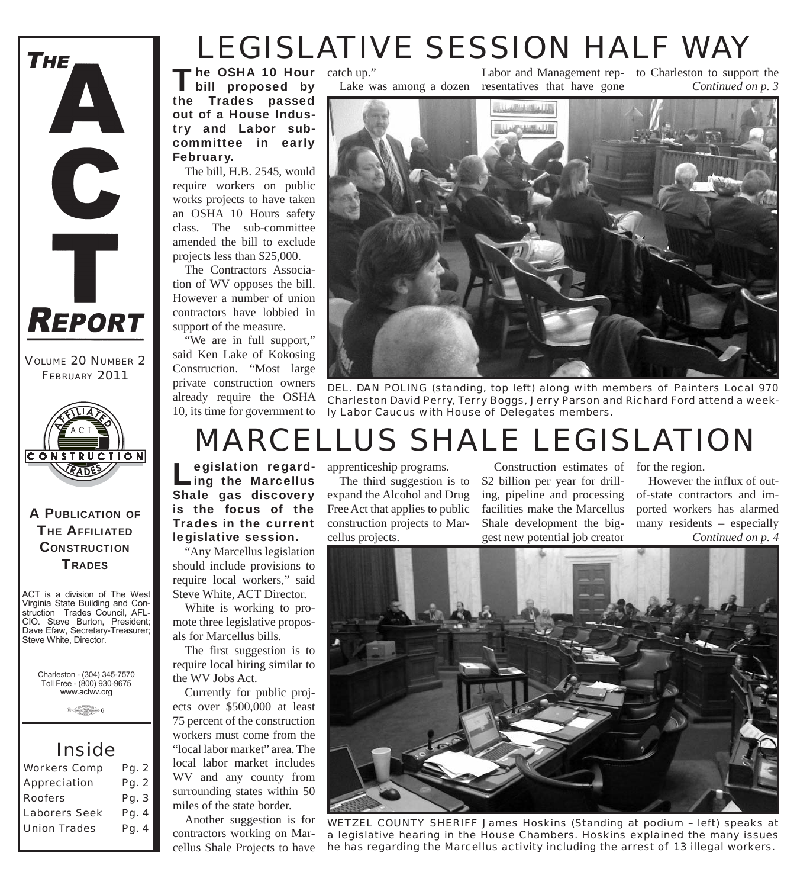# *LEGISLATIVE SESSION HALF WAY*

The OSHA 10 Hour<br>
bill proposed by the Trades passed out of a House Industry and Labor subcommittee in early February. The OSHA 10 Hour catch up."

The bill, H.B. 2545, would require workers on public works projects to have taken an OSHA 10 Hours safety class. The sub-committee amended the bill to exclude projects less than \$25,000.

The Contractors Association of WV opposes the bill. However a number of union contractors have lobbied in support of the measure.

"We are in full support," said Ken Lake of Kokosing Construction. "Most large private construction owners already require the OSHA 10, its time for government to Lake was among a dozen resentatives that have gone Labor and Management rep-to Charleston to support the

*Continued on p. 3*



*DEL. DAN POLING (standing, top left) along with members of Painters Local 970 Charleston David Perry, Terry Boggs, Jerry Parson and Richard Ford attend a weekly Labor Caucus with House of Delegates members.*

# *MARCELLUS SHALE LEGISLATION*

Legislation regard-<br>Ling the Marcellus Shale gas discovery is the focus of the Trades in the current legislative session.

"Any Marcellus legislation should include provisions to require local workers," said Steve White, ACT Director.

White is working to promote three legislative proposals for Marcellus bills.

The first suggestion is to require local hiring similar to the WV Jobs Act.

Currently for public projects over \$500,000 at least 75 percent of the construction workers must come from the "local labor market" area. The local labor market includes WV and any county from surrounding states within 50 miles of the state border.

Another suggestion is for contractors working on Marcellus Shale Projects to have

egislation regard- apprenticeship programs.

The third suggestion is to expand the Alcohol and Drug Free Act that applies to public construction projects to Marcellus projects.

Construction estimates of for the region. \$2 billion per year for drilling, pipeline and processing facilities make the Marcellus Shale development the biggest new potential job creator

*Continued on p. 4* However the influx of outof-state contractors and imported workers has alarmed many residents – especially



*WETZEL COUNTY SHERIFF James Hoskins (Standing at podium – left) speaks at a legislative hearing in the House Chambers. Hoskins explained the many issues he has regarding the Marcellus activity including the arrest of 13 illegal workers.*

**CONSTRUCTION TRADES** ACT is a division of The West

A PUBLICATION OF **THE AFFILIATED** 

**CONSTRUCTION** RADE

*VOLUME 20 NUMBER 2 FEBRUARY 2011*

 $REPORT$ 

THE

Virginia State Building and Construction Trades Council, AFL-CIO. Steve Burton, President; Dave Efaw, Secretary-Treasurer; Steve White, Director.

Charleston - (304) 345-7570 Toll Free - (800) 930-9675 www.actwv.org

 $A$  (TADES  $\frac{\text{maximize}}{\text{maximize}}$  6

### *Inside*

| <b>Workers Comp</b>  | Pg. 2 |
|----------------------|-------|
| <b>Appreciation</b>  | Pg. 2 |
| <b>Roofers</b>       | Pg. 3 |
| <b>Laborers Seek</b> | Pg. 4 |
| <b>Union Trades</b>  | Pg. 4 |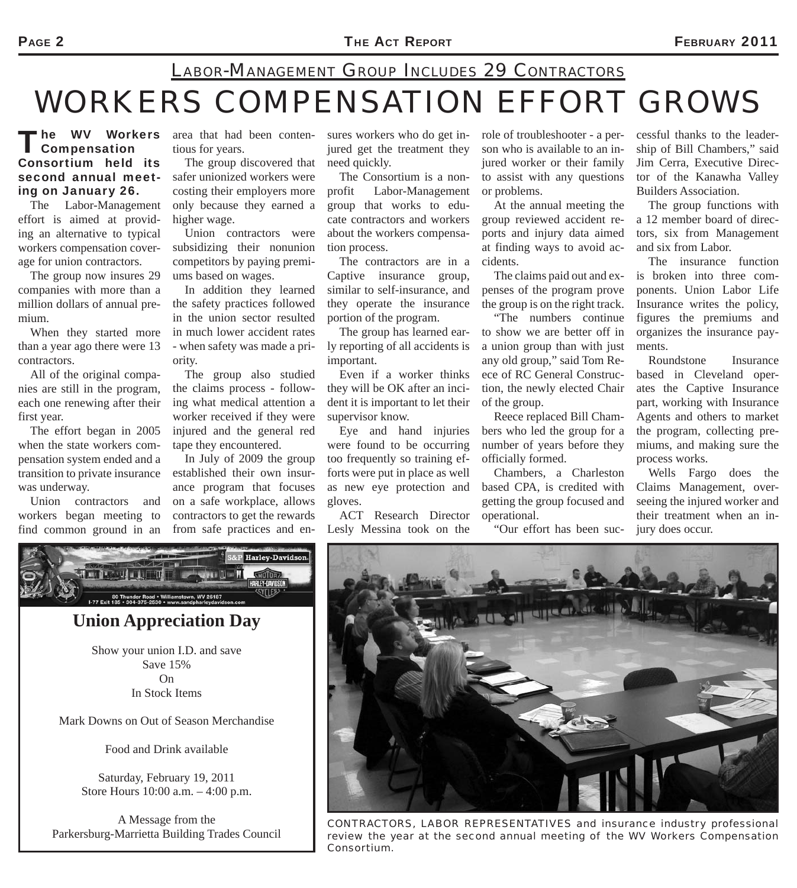## *WORKERS COMPENSATION EFFORT GROWS LABOR-MANAGEMENT GROUP INCLUDES 29 CONTRACTORS*

#### 'he WV Workers Compensation Consortium held its second annual meeting on January 26.

The Labor-Management effort is aimed at providing an alternative to typical workers compensation coverage for union contractors.

The group now insures 29 companies with more than a million dollars of annual premium.

When they started more than a year ago there were 13 contractors.

All of the original companies are still in the program, each one renewing after their first year.

The effort began in 2005 when the state workers compensation system ended and a transition to private insurance was underway.

Union contractors and workers began meeting to find common ground in an

area that had been contentious for years.

The group discovered that safer unionized workers were costing their employers more only because they earned a higher wage.

Union contractors were subsidizing their nonunion competitors by paying premiums based on wages.

In addition they learned the safety practices followed in the union sector resulted in much lower accident rates - when safety was made a priority.

The group also studied the claims process - following what medical attention a worker received if they were injured and the general red tape they encountered.

In July of 2009 the group established their own insurance program that focuses on a safe workplace, allows contractors to get the rewards from safe practices and en-

sures workers who do get injured get the treatment they need quickly.

The Consortium is a nonprofit Labor-Management group that works to educate contractors and workers about the workers compensation process.

The contractors are in a Captive insurance group, similar to self-insurance, and they operate the insurance portion of the program.

The group has learned early reporting of all accidents is important.

Even if a worker thinks they will be OK after an incident it is important to let their supervisor know.

Eye and hand injuries were found to be occurring too frequently so training efforts were put in place as well as new eye protection and gloves.

ACT Research Director Lesly Messina took on the

role of troubleshooter - a person who is available to an injured worker or their family to assist with any questions or problems.

At the annual meeting the group reviewed accident reports and injury data aimed at finding ways to avoid accidents.

The claims paid out and expenses of the program prove the group is on the right track.

"The numbers continue to show we are better off in a union group than with just any old group," said Tom Reece of RC General Construction, the newly elected Chair of the group.

Reece replaced Bill Chambers who led the group for a number of years before they officially formed.

Chambers, a Charleston based CPA, is credited with getting the group focused and operational.

"Our effort has been suc-

cessful thanks to the leadership of Bill Chambers," said Jim Cerra, Executive Director of the Kanawha Valley Builders Association.

The group functions with a 12 member board of directors, six from Management and six from Labor.

The insurance function is broken into three components. Union Labor Life Insurance writes the policy, figures the premiums and organizes the insurance payments.

Roundstone Insurance based in Cleveland operates the Captive Insurance part, working with Insurance Agents and others to market the program, collecting premiums, and making sure the process works.

Wells Fargo does the Claims Management, overseeing the injured worker and their treatment when an injury does occur.



*CONTRACTORS, LABOR REPRESENTATIVES and insurance industry professional review the year at the second annual meeting of the WV Workers Compensation Consortium.*



### **Union Appreciation Day**

Show your union I.D. and save Save 15% On In Stock Items

Mark Downs on Out of Season Merchandise

Food and Drink available

Saturday, February 19, 2011 Store Hours 10:00 a.m. – 4:00 p.m.

A Message from the Parkersburg-Marrietta Building Trades Council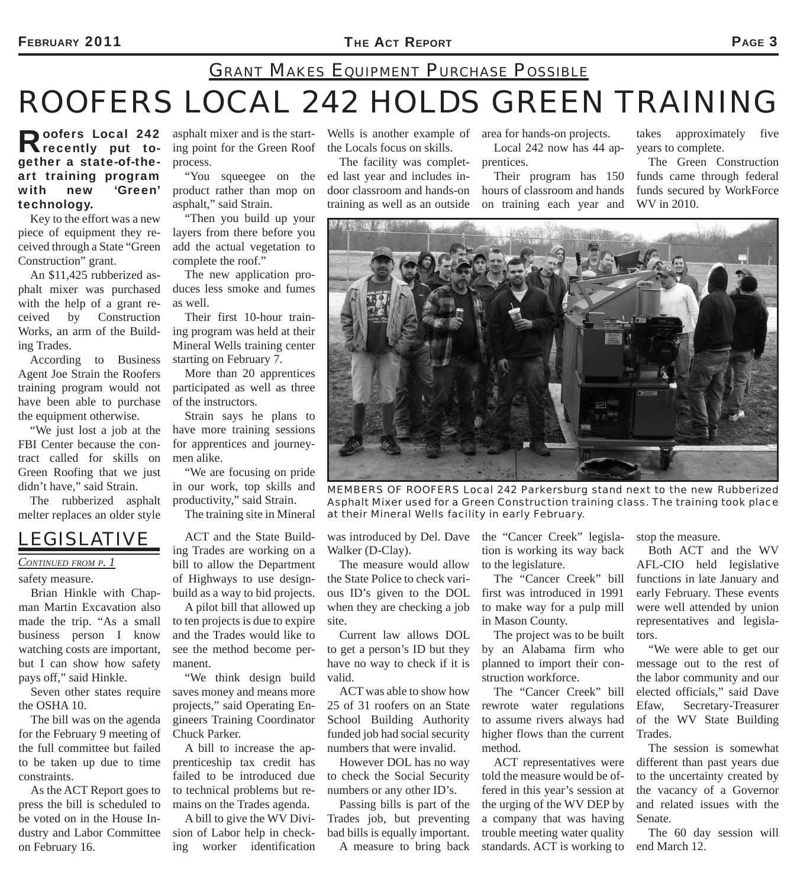### FEBRUARY 2011 **PAGE 3**

## *ROOFERS LOCAL 242 HOLDS GREEN TRAINING GRANT MAKES EQUIPMENT PURCHASE POSSIBLE*

Roofers Local 242 gether a state-of-theart training program with new 'Green' technology.

Key to the effort was a new piece of equipment they received through a State "Green Construction" grant.

An \$11,425 rubberized asphalt mixer was purchased with the help of a grant received by Construction Works, an arm of the Building Trades.

According to Business Agent Joe Strain the Roofers training program would not have been able to purchase the equipment otherwise.

"We just lost a job at the FBI Center because the contract called for skills on Green Roofing that we just didn't have," said Strain.

The rubberized asphalt melter replaces an older style

### *LEGISLATIVE*

*CONTINUED FROM P. 1*

safety measure.

Brian Hinkle with Chapman Martin Excavation also made the trip. "As a small business person I know watching costs are important, but I can show how safety pays off," said Hinkle.

Seven other states require the OSHA 10.

The bill was on the agenda for the February 9 meeting of the full committee but failed to be taken up due to time constraints.

As the ACT Report goes to press the bill is scheduled to be voted on in the House Industry and Labor Committee on February 16.

asphalt mixer and is the starting point for the Green Roof process.

"You squeegee on the product rather than mop on asphalt," said Strain.

"Then you build up your layers from there before you add the actual vegetation to complete the roof."

The new application produces less smoke and fumes as well.

Their first 10-hour training program was held at their Mineral Wells training center starting on February 7.

More than 20 apprentices participated as well as three of the instructors.

Strain says he plans to have more training sessions for apprentices and journeymen alike.

"We are focusing on pride in our work, top skills and productivity," said Strain.

The training site in Mineral

ACT and the State Building Trades are working on a bill to allow the Department of Highways to use designbuild as a way to bid projects.

A pilot bill that allowed up to ten projects is due to expire and the Trades would like to see the method become permanent.

"We think design build saves money and means more projects," said Operating Engineers Training Coordinator Chuck Parker.

A bill to increase the apprenticeship tax credit has failed to be introduced due to technical problems but remains on the Trades agenda.

A bill to give the WV Division of Labor help in checking worker identification

Wells is another example of area for hands-on projects. the Locals focus on skills.

The facility was completed last year and includes indoor classroom and hands-on training as well as an outside

Local 242 now has 44 apprentices.

Their program has 150 hours of classroom and hands on training each year and

takes approximately five years to complete.

The Green Construction funds came through federal funds secured by WorkForce WV in 2010.



*MEMBERS OF ROOFERS Local 242 Parkersburg stand next to the new Rubberized Asphalt Mixer used for a Green Construction training class. The training took place at their Mineral Wells facility in early February.*

Walker (D-Clay).

The measure would allow the State Police to check various ID's given to the DOL when they are checking a job site.

Current law allows DOL to get a person's ID but they have no way to check if it is valid.

ACT was able to show how 25 of 31 roofers on an State School Building Authority funded job had social security numbers that were invalid.

However DOL has no way to check the Social Security numbers or any other ID's.

Passing bills is part of the Trades job, but preventing bad bills is equally important. A measure to bring back

was introduced by Del. Dave the "Cancer Creek" legislation is working its way back to the legislature.

> The "Cancer Creek" bill first was introduced in 1991 to make way for a pulp mill in Mason County.

> The project was to be built by an Alabama firm who planned to import their construction workforce.

> The "Cancer Creek" bill rewrote water regulations to assume rivers always had higher flows than the current method.

> ACT representatives were told the measure would be offered in this year's session at the urging of the WV DEP by a company that was having trouble meeting water quality standards. ACT is working to

stop the measure.

Both ACT and the WV AFL-CIO held legislative functions in late January and early February. These events were well attended by union representatives and legislators.

"We were able to get our message out to the rest of the labor community and our elected officials," said Dave Efaw, Secretary-Treasurer of the WV State Building Trades.

The session is somewhat different than past years due to the uncertainty created by the vacancy of a Governor and related issues with the Senate.

The 60 day session will end March 12.